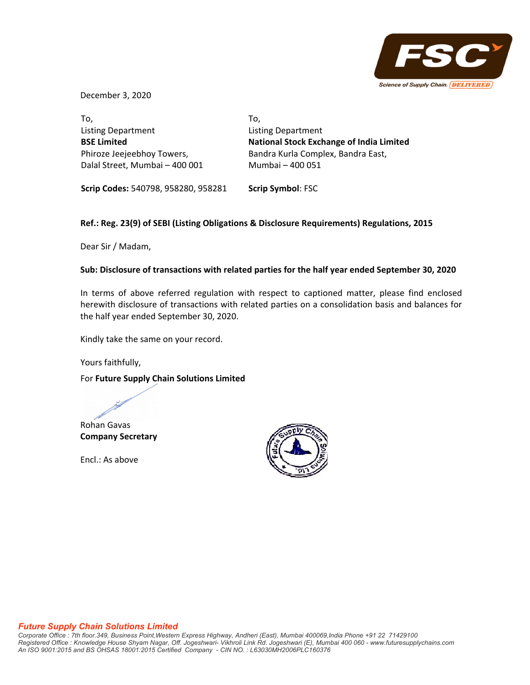

December 3, 2020

To, Listing Department **BSE Limited** Phiroze Jeejeebhoy Towers, Dalal Street, Mumbai – 400 001 To, Listing Department **National Stock Exchange of India Limited** Bandra Kurla Complex, Bandra East, Mumbai – 400 051

# **Ref.: Reg. 23(9) of SEBI (Listing Obligations & Disclosure Requirements) Regulations, 2015**

Dear Sir / Madam,

# **Sub: Disclosure of transactions with related parties for the half year ended September 30, 2020**

**Scrip Symbol**: FSC

In terms of above referred regulation with respect to captioned matter, please find enclosed herewith disclosure of transactions with related parties on a consolidation basis and balances for the half year ended September 30, 2020.

Kindly take the same on your record.

**Scrip Codes:** 540798, 958280, 958281

Yours faithfully,

For **Future Supply Chain Solutions Limited**

Rohan Gavas **Company Secretary**

Encl.: As above



# *Future Supply Chain Solutions Limited*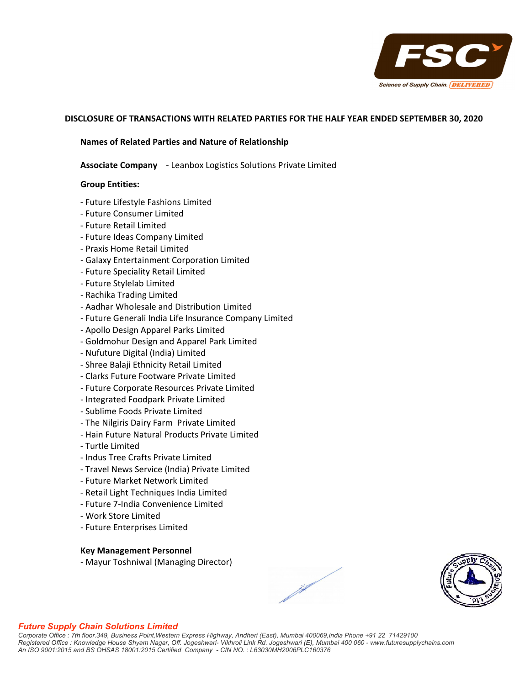

### **DISCLOSURE OF TRANSACTIONS WITH RELATED PARTIES FOR THE HALF YEAR ENDED SEPTEMBER 30, 2020**

### **Names of Related Parties and Nature of Relationship**

**Associate Company** ‐ Leanbox Logistics Solutions Private Limited

### **Group Entities:**

- ‐ Future Lifestyle Fashions Limited
- ‐ Future Consumer Limited
- ‐ Future Retail Limited
- ‐ Future Ideas Company Limited
- ‐ Praxis Home Retail Limited
- ‐ Galaxy Entertainment Corporation Limited
- ‐ Future Speciality Retail Limited
- ‐ Future Stylelab Limited
- ‐ Rachika Trading Limited
- ‐ Aadhar Wholesale and Distribution Limited
- ‐ Future Generali India Life Insurance Company Limited
- ‐ Apollo Design Apparel Parks Limited
- ‐ Goldmohur Design and Apparel Park Limited
- ‐ Nufuture Digital (India) Limited
- ‐ Shree Balaji Ethnicity Retail Limited
- ‐ Clarks Future Footware Private Limited
- ‐ Future Corporate Resources Private Limited
- ‐ Integrated Foodpark Private Limited
- ‐ Sublime Foods Private Limited
- ‐ The Nilgiris Dairy Farm Private Limited
- ‐ Hain Future Natural Products Private Limited
- ‐ Turtle Limited
- ‐ Indus Tree Crafts Private Limited
- ‐ Travel News Service (India) Private Limited
- ‐ Future Market Network Limited
- ‐ Retail Light Techniques India Limited
- ‐ Future 7‐India Convenience Limited
- ‐ Work Store Limited
- ‐ Future Enterprises Limited

### **Key Management Personnel**

‐ Mayur Toshniwal (Managing Director)





#### *Future Supply Chain Solutions Limited*

*Corporate Office : 7th floor.349, Business Point,Western Express Highway, Andheri (East), Mumbai 400069,India Phone +91 22 71429100 Registered Office : Knowledge House Shyam Nagar, Off. Jogeshwari- Vikhroli Link Rd. Jogeshwari (E), Mumbai 400 060 - www.futuresupplychains.com An ISO 9001:2015 and BS OHSAS 18001:2015 Certified Company - CIN NO. : L63030MH2006PLC160376*